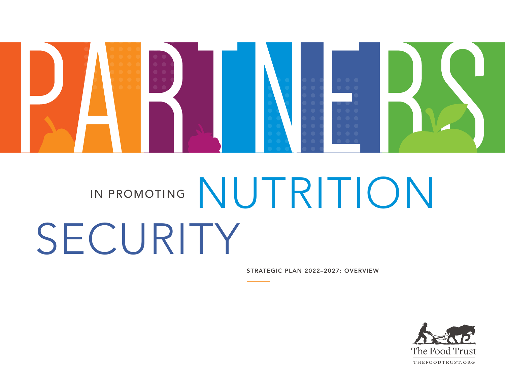

# IN PROMOTING NUTRITION SECURITY

STRATEGIC PLAN 2022–2027: OVERVIEW

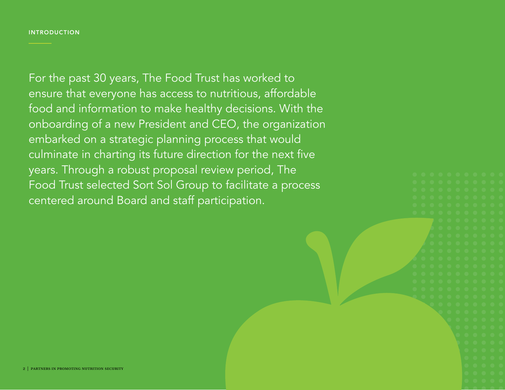#### INTRODUCTION

For the past 30 years, The Food Trust has worked to ensure that everyone has access to nutritious, affordable food and information to make healthy decisions. With the onboarding of a new President and CEO, the organization embarked on a strategic planning process that would culminate in charting its future direction for the next five years. Through a robust proposal review period, The Food Trust selected Sort Sol Group to facilitate a process centered around Board and staff participation.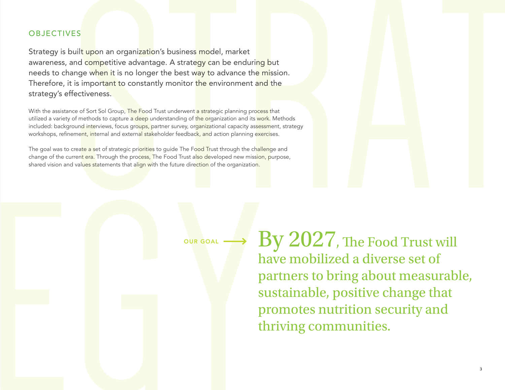#### **OBJECTIVES**

Strategy is built upon an organization's business model, market awareness, and competitive advantage. A strategy can be enduring but needs to change when it is no longer the best way to advance the mission. Therefore, it is important to constantly monitor the environment and the strategy's effectiveness.

With the assistance of Sort Sol Group, The Food Trust underwent a strategic planning process that utilized a variety of methods to capture a deep understanding of the organization and its work. Methods included: background interviews, focus groups, partner survey, organizational capacity assessment, strategy workshops, refinement, internal and external stakeholder feedback, and action planning exercises.

The goal was to create a set of strategic priorities to guide The Food Trust through the challenge and change of the current era. Through the process, The Food Trust also developed new mission, purpose, shared vision and values statements that align with the future direction of the organization.

OUR GOAL

By 2027, The Food Trust will have mobilized a diverse set of partners to bring about measurable, sustainable, positive change that promotes nutrition security and thriving communities.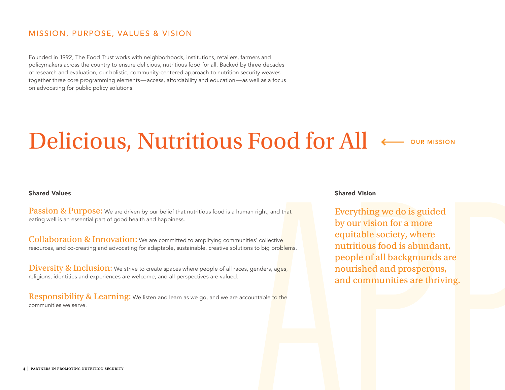#### MISSION, PURPOSE, VALUES & VISION

Founded in 1992, The Food Trust works with neighborhoods, institutions, retailers, farmers and policymakers across the country to ensure delicious, nutritious food for all. Backed by three decades of research and evaluation, our holistic, community-centered approach to nutrition security weaves together three core programming elements—access, affordability and education—as well as a focus on advocating for public policy solutions.

# Delicious, Nutritious Food for All  $\leftarrow$  our mission

#### Shared Values

Passion & Purpose: We are driven by our belief that nutritious food is a human right, and that eating well is an essential part of good health and happiness.

Collaboration & Innovation: We are committed to amplifying communities' collective resources, and co-creating and advocating for adaptable, sustainable, creative solutions to big problems.

**Diversity & Inclusion:** We strive to create spaces where people of all races, genders, ages, religions, identities and experiences are welcome, and all perspectives are valued.

Responsibility & Learning: We listen and learn as we go, and we are accountable to the communities we serve.

#### Shared Vision

Everything we do is guided by our vision for a more equitable society, where nutritious food is abundant, people of all backgrounds are nourished and prosperous, and communities are thriving.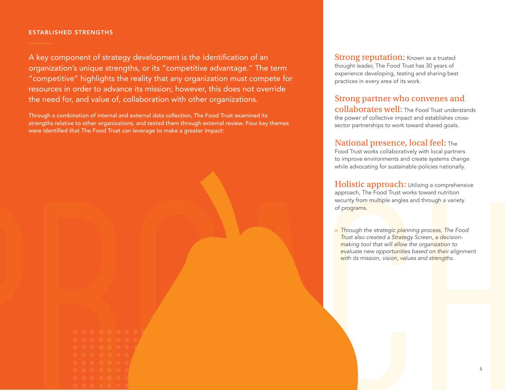#### ESTABLISHED STRENGTHS

A key component of strategy development is the identification of an organization's unique strengths, or its "competitive advantage." The term "competitive" highlights the reality that any organization must compete for resources in order to advance its mission; however, this does not override the need for, and value of, collaboration with other organizations.

Through a combination of internal and external data collection, The Food Trust examined its strengths relative to other organizations, and tested them through external review. Four key themes were identified that The Food Trust can leverage to make a greater impact:

**Strong reputation:** Known as a trusted thought leader, The Food Trust has 30 years of experience developing, testing and sharing best practices in every area of its work.

## Strong partner who convenes and

collaborates well: The Food Trust understands the power of collective impact and establishes crosssector partnerships to work toward shared goals.

#### National presence, local feel: The

Food Trust works collaboratively with local partners to improve environments and create systems change while advocating for sustainable policies nationally.

Holistic approach: Utilizing a comprehensive approach, The Food Trust works toward nutrition security from multiple angles and through a variety of programs.

» *Through the strategic planning process, The Food Trust also created a Strategy Screen, a decisionmaking tool that will allow the organization to evaluate new opportunities based on their alignment with its mission, vision, values and strengths.*

| O | $\bullet$ | $\bullet$ | $\bullet$ | $\bullet$ | O          | $\bullet$ | C       |
|---|-----------|-----------|-----------|-----------|------------|-----------|---------|
| O | $\bullet$ | $\bullet$ | O         | $\bullet$ | $\bullet$  | $\bullet$ | ×<br>c. |
| O | $\bullet$ | $\bullet$ | $\bullet$ | $\bullet$ | $\bullet$  | $\bullet$ | U       |
| O | $\bullet$ | $\bullet$ | O         | $\bullet$ | $\bigcirc$ | $\bullet$ |         |
| O | O         | O         | O         | $\bullet$ | O          | $\bullet$ |         |
| O | $\bullet$ | $\bullet$ | O         | $\bullet$ | O          | $\Box$    |         |
| Q | $\bullet$ | $\bullet$ | $\bullet$ | $\bullet$ | O          | a         |         |
|   |           |           |           |           |            |           |         |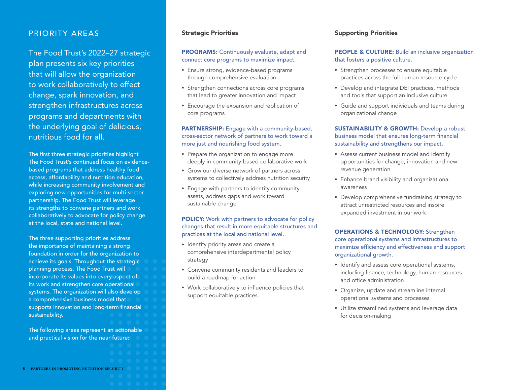#### PRIORITY AREAS

#### The Food Trust's 2022–27 strategic

plan presents six key priorities that will allow the organization to work collaboratively to effect change, spark innovation, and strengthen infrastructures across programs and departments with the underlying goal of delicious, nutritious food for all.

The first three strategic priorities highlight The Food Trust's continued focus on evidencebased programs that address healthy food access, affordability and nutrition education, while increasing community involvement and exploring new opportunities for multi-sector partnership. The Food Trust will leverage its strengths to convene partners and work collaboratively to advocate for policy change at the local, state and national level.

The three supporting priorities address the importance of maintaining a strong foundation in order for the organization to achieve its goals. Throughout the strategic planning process, The Food Trust will incorporate its values into every aspect of its work and strengthen core operational systems. The organization will also develop a comprehensive business model that supports innovation and long-term financial sustainability.

The following areas represent an actionable and practical vision for the near future:

#### Strategic Priorities

#### PROGRAMS: Continuously evaluate, adapt and connect core programs to maximize impact.

- Ensure strong, evidence-based programs through comprehensive evaluation
- Strengthen connections across core programs that lead to greater innovation and impact
- Encourage the expansion and replication of core programs

PARTNERSHIP: Engage with a community-based, cross-sector network of partners to work toward a more just and nourishing food system.

- Prepare the organization to engage more deeply in community-based collaborative work
- Grow our diverse network of partners across systems to collectively address nutrition security
- Engage with partners to identify community assets, address gaps and work toward sustainable change

POLICY: Work with partners to advocate for policy changes that result in more equitable structures and practices at the local and national level.

- Identify priority areas and create a comprehensive interdepartmental policy strategy
- Convene community residents and leaders to build a roadmap for action
- Work collaboratively to influence policies that support equitable practices

#### Supporting Priorities

#### PEOPLE & CULTURE: Build an inclusive organization that fosters a positive culture.

- Strengthen processes to ensure equitable practices across the full human resource cycle
- Develop and integrate DEI practices, methods and tools that support an inclusive culture
- Guide and support individuals and teams during organizational change

#### **SUSTAINABILITY & GROWTH: Develop a robust** business model that ensures long-term financial sustainability and strengthens our impact.

- Assess current business model and identify opportunities for change, innovation and new revenue generation
- Enhance brand visibility and organizational awareness
- Develop comprehensive fundraising strategy to attract unrestricted resources and inspire expanded investment in our work

#### OPERATIONS & TECHNOLOGY: Strengthen core operational systems and infrastructures to maximize efficiency and effectiveness and support organizational growth.

- Identify and assess core operational systems, including finance, technology, human resources and office administration
- Organize, update and streamline internal operational systems and processes
- Utilize streamlined systems and leverage data for decision-making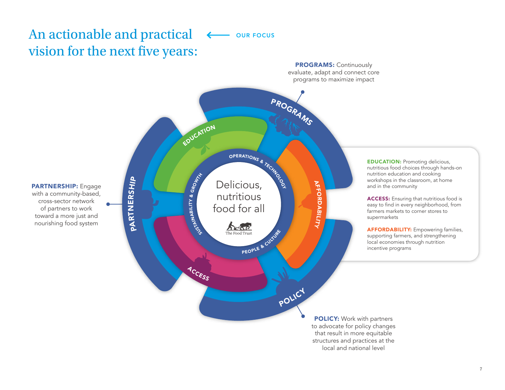### An actionable and practical vision for the next five years: **OUR FOCUS**



local and national level

7